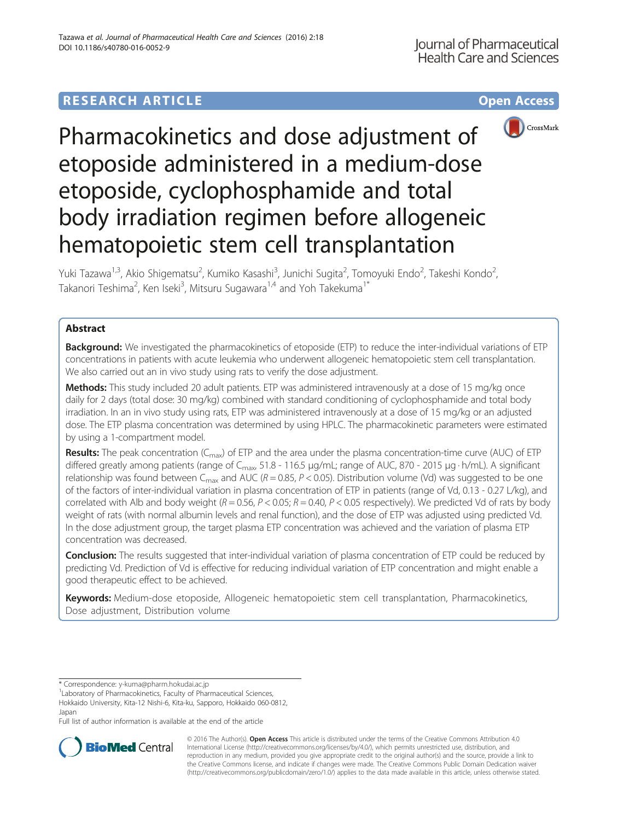# **RESEARCH ARTICLE Example 2014 12:30 The Contract of Contract ACCESS**



Pharmacokinetics and dose adjustment of etoposide administered in a medium-dose etoposide, cyclophosphamide and total body irradiation regimen before allogeneic hematopoietic stem cell transplantation

Yuki Tazawa<sup>1,3</sup>, Akio Shigematsu<sup>2</sup>, Kumiko Kasashi<sup>3</sup>, Junichi Sugita<sup>2</sup>, Tomoyuki Endo<sup>2</sup>, Takeshi Kondo<sup>2</sup> , Takanori Teshima<sup>2</sup>, Ken Iseki<sup>3</sup>, Mitsuru Sugawara<sup>1,4</sup> and Yoh Takekuma<sup>1\*</sup>

## Abstract

**Background:** We investigated the pharmacokinetics of etoposide (ETP) to reduce the inter-individual variations of ETP concentrations in patients with acute leukemia who underwent allogeneic hematopoietic stem cell transplantation. We also carried out an in vivo study using rats to verify the dose adjustment.

Methods: This study included 20 adult patients. ETP was administered intravenously at a dose of 15 mg/kg once daily for 2 days (total dose: 30 mg/kg) combined with standard conditioning of cyclophosphamide and total body irradiation. In an in vivo study using rats, ETP was administered intravenously at a dose of 15 mg/kg or an adjusted dose. The ETP plasma concentration was determined by using HPLC. The pharmacokinetic parameters were estimated by using a 1-compartment model.

**Results:** The peak concentration ( $C_{\text{max}}$ ) of ETP and the area under the plasma concentration-time curve (AUC) of ETP differed greatly among patients (range of C<sub>max</sub>, 51.8 - 116.5 μg/mL; range of AUC, 870 - 2015 μg · h/mL). A significant relationship was found between C<sub>max</sub> and AUC ( $R = 0.85$ ,  $P < 0.05$ ). Distribution volume (Vd) was suggested to be one of the factors of inter-individual variation in plasma concentration of ETP in patients (range of Vd, 0.13 - 0.27 L/kg), and correlated with Alb and body weight ( $R = 0.56$ ,  $P < 0.05$ ;  $R = 0.40$ ,  $P < 0.05$  respectively). We predicted Vd of rats by body weight of rats (with normal albumin levels and renal function), and the dose of ETP was adjusted using predicted Vd. In the dose adjustment group, the target plasma ETP concentration was achieved and the variation of plasma ETP concentration was decreased.

Conclusion: The results suggested that inter-individual variation of plasma concentration of ETP could be reduced by predicting Vd. Prediction of Vd is effective for reducing individual variation of ETP concentration and might enable a good therapeutic effect to be achieved.

Keywords: Medium-dose etoposide, Allogeneic hematopoietic stem cell transplantation, Pharmacokinetics, Dose adjustment, Distribution volume

\* Correspondence: [y-kuma@pharm.hokudai.ac.jp](mailto:y-kuma@pharm.hokudai.ac.jp) <sup>1</sup>

<sup>1</sup> Laboratory of Pharmacokinetics, Faculty of Pharmaceutical Sciences,

Hokkaido University, Kita-12 Nishi-6, Kita-ku, Sapporo, Hokkaido 060-0812, Japan

Full list of author information is available at the end of the article



© 2016 The Author(s). Open Access This article is distributed under the terms of the Creative Commons Attribution 4.0 International License [\(http://creativecommons.org/licenses/by/4.0/](http://creativecommons.org/licenses/by/4.0/)), which permits unrestricted use, distribution, and reproduction in any medium, provided you give appropriate credit to the original author(s) and the source, provide a link to the Creative Commons license, and indicate if changes were made. The Creative Commons Public Domain Dedication waiver [\(http://creativecommons.org/publicdomain/zero/1.0/](http://creativecommons.org/publicdomain/zero/1.0/)) applies to the data made available in this article, unless otherwise stated.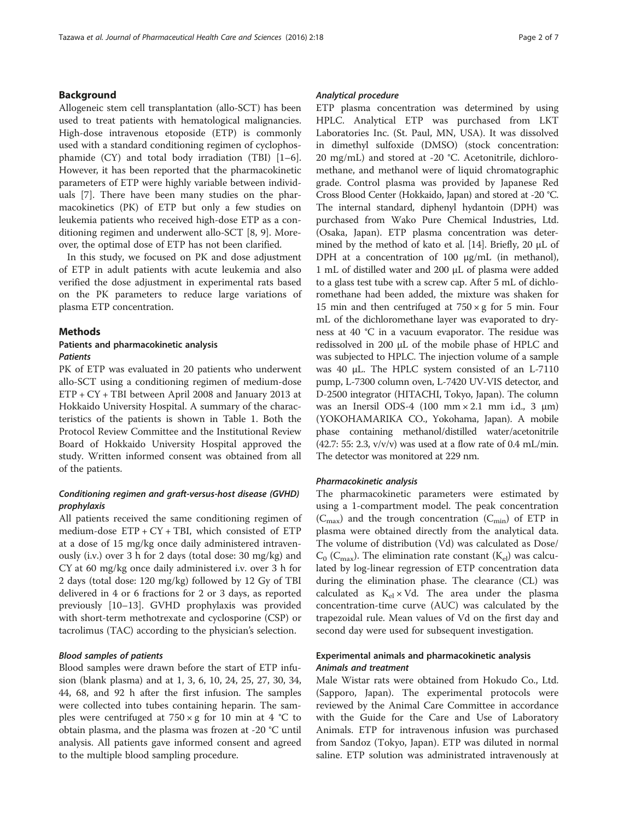## Background

Allogeneic stem cell transplantation (allo-SCT) has been used to treat patients with hematological malignancies. High-dose intravenous etoposide (ETP) is commonly used with a standard conditioning regimen of cyclophosphamide (CY) and total body irradiation (TBI) [\[1](#page-5-0)–[6](#page-5-0)]. However, it has been reported that the pharmacokinetic parameters of ETP were highly variable between individuals [\[7\]](#page-5-0). There have been many studies on the pharmacokinetics (PK) of ETP but only a few studies on leukemia patients who received high-dose ETP as a conditioning regimen and underwent allo-SCT [\[8, 9](#page-5-0)]. Moreover, the optimal dose of ETP has not been clarified.

In this study, we focused on PK and dose adjustment of ETP in adult patients with acute leukemia and also verified the dose adjustment in experimental rats based on the PK parameters to reduce large variations of plasma ETP concentration.

#### Methods

## Patients and pharmacokinetic analysis **Patients**

PK of ETP was evaluated in 20 patients who underwent allo-SCT using a conditioning regimen of medium-dose ETP + CY + TBI between April 2008 and January 2013 at Hokkaido University Hospital. A summary of the characteristics of the patients is shown in Table [1.](#page-2-0) Both the Protocol Review Committee and the Institutional Review Board of Hokkaido University Hospital approved the study. Written informed consent was obtained from all of the patients.

## Conditioning regimen and graft-versus-host disease (GVHD) prophylaxis

All patients received the same conditioning regimen of medium-dose ETP + CY + TBI, which consisted of ETP at a dose of 15 mg/kg once daily administered intravenously (i.v.) over 3 h for 2 days (total dose: 30 mg/kg) and CY at 60 mg/kg once daily administered i.v. over 3 h for 2 days (total dose: 120 mg/kg) followed by 12 Gy of TBI delivered in 4 or 6 fractions for 2 or 3 days, as reported previously [[10](#page-5-0)–[13](#page-6-0)]. GVHD prophylaxis was provided with short-term methotrexate and cyclosporine (CSP) or tacrolimus (TAC) according to the physician's selection.

## Blood samples of patients

Blood samples were drawn before the start of ETP infusion (blank plasma) and at 1, 3, 6, 10, 24, 25, 27, 30, 34, 44, 68, and 92 h after the first infusion. The samples were collected into tubes containing heparin. The samples were centrifuged at  $750 \times g$  for 10 min at 4 °C to obtain plasma, and the plasma was frozen at -20 °C until analysis. All patients gave informed consent and agreed to the multiple blood sampling procedure.

#### Analytical procedure

ETP plasma concentration was determined by using HPLC. Analytical ETP was purchased from LKT Laboratories Inc. (St. Paul, MN, USA). It was dissolved in dimethyl sulfoxide (DMSO) (stock concentration: 20 mg/mL) and stored at -20 °C. Acetonitrile, dichloromethane, and methanol were of liquid chromatographic grade. Control plasma was provided by Japanese Red Cross Blood Center (Hokkaido, Japan) and stored at -20 °C. The internal standard, diphenyl hydantoin (DPH) was purchased from Wako Pure Chemical Industries, Ltd. (Osaka, Japan). ETP plasma concentration was determined by the method of kato et al. [\[14\]](#page-6-0). Briefly, 20 μL of DPH at a concentration of 100 μg/mL (in methanol), 1 mL of distilled water and 200 μL of plasma were added to a glass test tube with a screw cap. After 5 mL of dichloromethane had been added, the mixture was shaken for 15 min and then centrifuged at  $750 \times g$  for 5 min. Four mL of the dichloromethane layer was evaporated to dryness at 40 °C in a vacuum evaporator. The residue was redissolved in 200 μL of the mobile phase of HPLC and was subjected to HPLC. The injection volume of a sample was 40 μL. The HPLC system consisted of an L-7110 pump, L-7300 column oven, L-7420 UV-VIS detector, and D-2500 integrator (HITACHI, Tokyo, Japan). The column was an Inersil ODS-4 (100 mm  $\times$  2.1 mm i.d., 3  $\mu$ m) (YOKOHAMARIKA CO., Yokohama, Japan). A mobile phase containing methanol/distilled water/acetonitrile  $(42.7: 55: 2.3, v/v/v)$  was used at a flow rate of 0.4 mL/min. The detector was monitored at 229 nm.

## Pharmacokinetic analysis

The pharmacokinetic parameters were estimated by using a 1-compartment model. The peak concentration  $(C_{\text{max}})$  and the trough concentration  $(C_{\text{min}})$  of ETP in plasma were obtained directly from the analytical data. The volume of distribution (Vd) was calculated as Dose/  $C_0$  ( $C_{\text{max}}$ ). The elimination rate constant ( $K_{el}$ ) was calculated by log-linear regression of ETP concentration data during the elimination phase. The clearance (CL) was calculated as  $K_{el} \times Vd$ . The area under the plasma concentration-time curve (AUC) was calculated by the trapezoidal rule. Mean values of Vd on the first day and second day were used for subsequent investigation.

## Experimental animals and pharmacokinetic analysis Animals and treatment

Male Wistar rats were obtained from Hokudo Co., Ltd. (Sapporo, Japan). The experimental protocols were reviewed by the Animal Care Committee in accordance with the Guide for the Care and Use of Laboratory Animals. ETP for intravenous infusion was purchased from Sandoz (Tokyo, Japan). ETP was diluted in normal saline. ETP solution was administrated intravenously at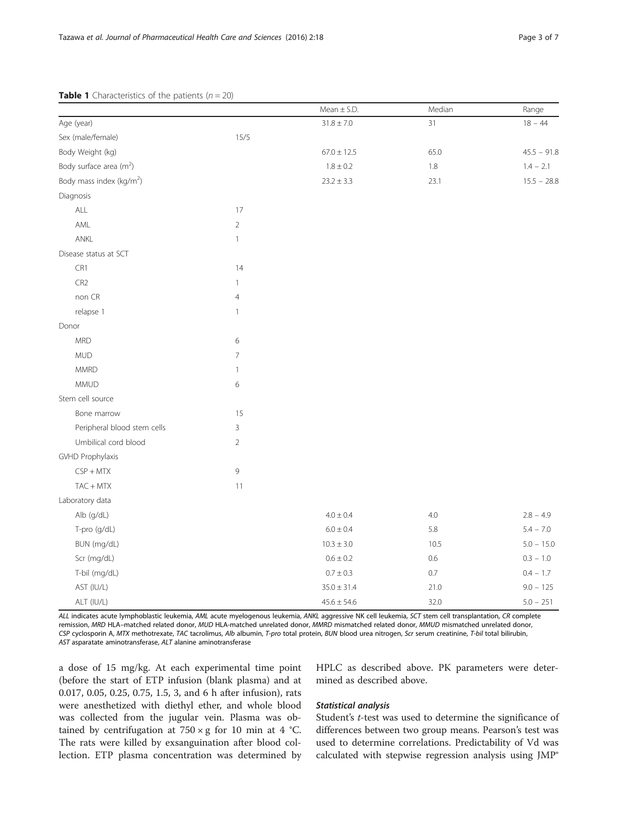## <span id="page-2-0"></span>**Table 1** Characteristics of the patients  $(n = 20)$

|                                      |                | Mean $\pm$ S.D. | Median  | Range         |
|--------------------------------------|----------------|-----------------|---------|---------------|
| Age (year)                           |                | $31.8 \pm 7.0$  | 31      | $18 - 44$     |
| Sex (male/female)                    | 15/5           |                 |         |               |
| Body Weight (kg)                     |                | $67.0 \pm 12.5$ | 65.0    | $45.5 - 91.8$ |
| Body surface area $(m^2)$            |                | $1.8 \pm 0.2$   | $1.8\,$ | $1.4 - 2.1$   |
| Body mass index (kg/m <sup>2</sup> ) |                | $23.2 \pm 3.3$  | 23.1    | $15.5 - 28.8$ |
| Diagnosis                            |                |                 |         |               |
| $\mathsf{ALL}$                       | 17             |                 |         |               |
| AML                                  | $\overline{2}$ |                 |         |               |
| ANKL                                 | $\mathbf{1}$   |                 |         |               |
| Disease status at SCT                |                |                 |         |               |
| CR1                                  | 14             |                 |         |               |
| CR <sub>2</sub>                      | 1              |                 |         |               |
| non CR                               | $\overline{4}$ |                 |         |               |
| relapse 1                            | $\mathbf{1}$   |                 |         |               |
| Donor                                |                |                 |         |               |
| <b>MRD</b>                           | 6              |                 |         |               |
| <b>MUD</b>                           | 7              |                 |         |               |
| <b>MMRD</b>                          | 1              |                 |         |               |
| <b>MMUD</b>                          | 6              |                 |         |               |
| Stem cell source                     |                |                 |         |               |
| Bone marrow                          | 15             |                 |         |               |
| Peripheral blood stem cells          | 3              |                 |         |               |
| Umbilical cord blood                 | $\overline{2}$ |                 |         |               |
| GVHD Prophylaxis                     |                |                 |         |               |
| $CSP + MTX$                          | 9              |                 |         |               |
| $TAC + MTX$                          | 11             |                 |         |               |
| Laboratory data                      |                |                 |         |               |
| Alb (g/dL)                           |                | $4.0 \pm 0.4$   | $4.0\,$ | $2.8 - 4.9$   |
| T-pro (g/dL)                         |                | $6.0 \pm 0.4$   | 5.8     | $5.4 - 7.0$   |
| BUN (mg/dL)                          |                | $10.3 \pm 3.0$  | 10.5    | $5.0 - 15.0$  |
| Scr (mg/dL)                          |                | $0.6\pm0.2$     | 0.6     | $0.3 - 1.0$   |
| T-bil (mg/dL)                        |                | $0.7\pm0.3$     | $0.7\,$ | $0.4 - 1.7$   |
| AST (IU/L)                           |                | $35.0 \pm 31.4$ | 21.0    | $9.0 - 125$   |
| ALT (IU/L)                           |                | $45.6 \pm 54.6$ | 32.0    | $5.0 - 251$   |

ALL indicates acute lymphoblastic leukemia, AML acute myelogenous leukemia, ANKL aggressive NK cell leukemia, SCT stem cell transplantation, CR complete remission, MRD HLA–matched related donor, MUD HLA-matched unrelated donor, MMRD mismatched related donor, MMUD mismatched unrelated donor, CSP cyclosporin A, MTX methotrexate, TAC tacrolimus, Alb albumin, T-pro total protein, BUN blood urea nitrogen, Scr serum creatinine, T-bil total bilirubin, AST asparatate aminotransferase, ALT alanine aminotransferase

a dose of 15 mg/kg. At each experimental time point (before the start of ETP infusion (blank plasma) and at 0.017, 0.05, 0.25, 0.75, 1.5, 3, and 6 h after infusion), rats were anesthetized with diethyl ether, and whole blood was collected from the jugular vein. Plasma was obtained by centrifugation at  $750 \times g$  for 10 min at 4 °C. The rats were killed by exsanguination after blood collection. ETP plasma concentration was determined by HPLC as described above. PK parameters were determined as described above.

## Statistical analysis

Student's t-test was used to determine the significance of differences between two group means. Pearson's test was used to determine correlations. Predictability of Vd was calculated with stepwise regression analysis using JMP®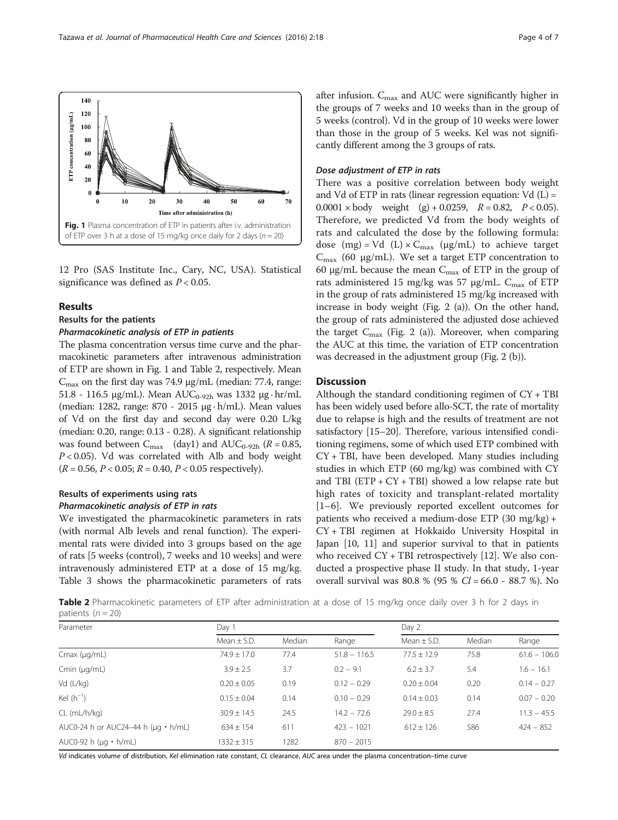12 Pro (SAS Institute Inc., Cary, NC, USA). Statistical significance was defined as  $P < 0.05$ .

#### Results

#### Results for the patients

#### Pharmacokinetic analysis of ETP in patients

The plasma concentration versus time curve and the pharmacokinetic parameters after intravenous administration of ETP are shown in Fig. 1 and Table 2, respectively. Mean  $C_{\text{max}}$  on the first day was 74.9 μg/mL (median: 77.4, range:  $51.8$  - 116.5 μg/mL). Mean AUC<sub>0-92h</sub> was 1332 μg·hr/mL (median: 1282, range: 870 - 2015 μg · h/mL). Mean values of Vd on the first day and second day were 0.20 L/kg (median: 0.20, range: 0.13 - 0.28). A significant relationship was found between  $C_{\text{max}}$  (day1) and  $AUC_{0.92h}$  ( $R = 0.85$ ,  $P < 0.05$ ). Vd was correlated with Alb and body weight  $(R = 0.56, P < 0.05; R = 0.40, P < 0.05$  respectively).

## Results of experiments using rats Pharmacokinetic analysis of ETP in rats

We investigated the pharmacokinetic parameters in rats (with normal Alb levels and renal function). The experimental rats were divided into 3 groups based on the age of rats [5 weeks (control), 7 weeks and 10 weeks] and were intravenously administered ETP at a dose of 15 mg/kg. Table [3](#page-4-0) shows the pharmacokinetic parameters of rats after infusion.  $C_{\text{max}}$  and AUC were significantly higher in the groups of 7 weeks and 10 weeks than in the group of 5 weeks (control). Vd in the group of 10 weeks were lower than those in the group of 5 weeks. Kel was not significantly different among the 3 groups of rats.

#### Dose adjustment of ETP in rats

There was a positive correlation between body weight and Vd of ETP in rats (linear regression equation:  $Vd(L) =$  $0.0001 \times$  body weight (g) + 0.0259,  $R = 0.82$ ,  $P < 0.05$ ). Therefore, we predicted Vd from the body weights of rats and calculated the dose by the following formula: dose (mg) = Vd (L)  $\times$  C<sub>max</sub> (μg/mL) to achieve target  $C<sub>max</sub>$  (60 μg/mL). We set a target ETP concentration to 60 μg/mL because the mean  $C_{\text{max}}$  of ETP in the group of rats administered 15 mg/kg was 57 μg/mL.  $C_{\text{max}}$  of ETP in the group of rats administered 15 mg/kg increased with increase in body weight (Fig. [2](#page-4-0) ([a](#page-4-0))). On the other hand, the group of rats administered the adjusted dose achieved the target  $C_{\text{max}}$  (Fig. [2](#page-4-0) [\(a\)](#page-4-0)). Moreover, when comparing the AUC at this time, the variation of ETP concentration was decreased in the adjustment group (Fig. [2](#page-4-0) ([b\)](#page-4-0)).

## **Discussion**

Although the standard conditioning regimen of  $CY + TBI$ has been widely used before allo-SCT, the rate of mortality due to relapse is high and the results of treatment are not satisfactory [\[15](#page-6-0)–[20](#page-6-0)]. Therefore, various intensified conditioning regimens, some of which used ETP combined with CY + TBI, have been developed. Many studies including studies in which ETP (60 mg/kg) was combined with CY and TBI ( $ETP + CY + TBI$ ) showed a low relapse rate but high rates of toxicity and transplant-related mortality [[1](#page-5-0)–[6](#page-5-0)]. We previously reported excellent outcomes for patients who received a medium-dose ETP (30 mg/kg) + CY + TBI regimen at Hokkaido University Hospital in Japan [\[10](#page-5-0), [11\]](#page-5-0) and superior survival to that in patients who received CY + TBI retrospectively [\[12\]](#page-6-0). We also conducted a prospective phase II study. In that study, 1-year overall survival was 80.8 % (95 %  $Cl = 66.0 - 88.7$  %). No

**Table 2** Pharmacokinetic parameters of ETP after administration at a dose of 15 mg/kg once daily over 3 h for 2 days in patients  $(n = 20)$ 

| Parameter                                 | Day 1           |        |                | Day 2           |        |                |
|-------------------------------------------|-----------------|--------|----------------|-----------------|--------|----------------|
|                                           | Mean $\pm$ S.D. | Median | Range          | Mean $\pm$ S.D. | Median | Range          |
| $Cmax$ ( $\mu$ g/mL)                      | $74.9 \pm 17.0$ | 77.4   | $51.8 - 116.5$ | $77.5 \pm 12.9$ | 75.8   | $61.6 - 106.0$ |
| Cmin $(\mu q/mL)$                         | $3.9 \pm 2.5$   | 3.7    | $0.2 - 9.1$    | $6.2 \pm 3.7$   | 5.4    | $1.6 - 16.1$   |
| Vd (L/kg)                                 | $0.20 \pm 0.05$ | 0.19   | $0.12 - 0.29$  | $0.20 \pm 0.04$ | 0.20   | $0.14 - 0.27$  |
| Kel $(h^{-1})$                            | $0.15 \pm 0.04$ | 0.14   | $0.10 - 0.29$  | $0.14 \pm 0.03$ | 0.14   | $0.07 - 0.20$  |
| $CL$ (m $L/h/kg$ )                        | $30.9 \pm 14.5$ | 24.5   | $14.2 - 72.6$  | $29.0 \pm 8.5$  | 27.4   | $11.3 - 45.5$  |
| AUC0-24 h or AUC24-44 h ( $\mu$ g · h/mL) | $634 \pm 154$   | 611    | $423 - 1021$   | $612 \pm 126$   | 586    | $424 - 852$    |
| AUC0-92 h ( $\mu$ g · h/mL)               | $1332 \pm 315$  | 1282   | $870 - 2015$   |                 |        |                |

Vd indicates volume of distribution, Kel elimination rate constant, CL clearance, AUC area under the plasma concentration–time curve

<span id="page-3-0"></span>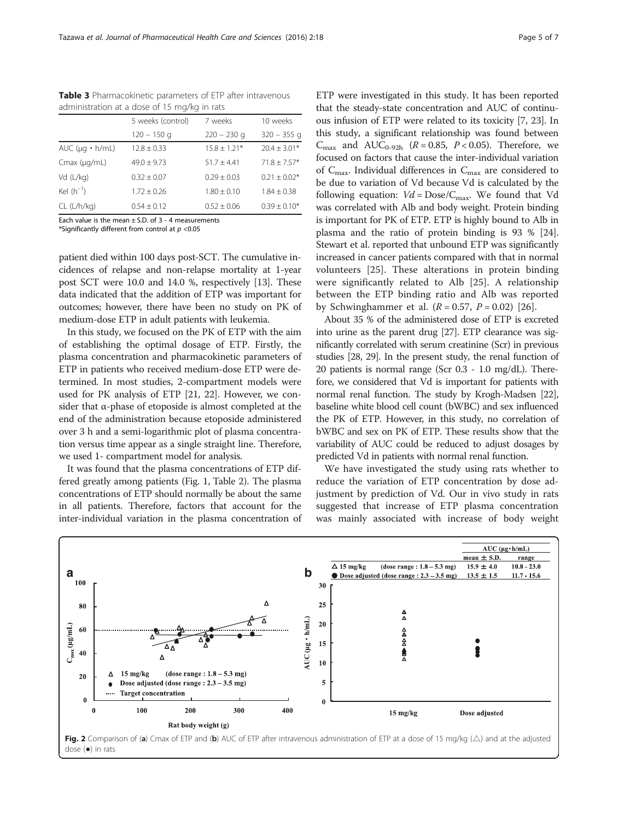|                            | 5 weeks (control) | 7 weeks         | 10 weeks         |  |
|----------------------------|-------------------|-----------------|------------------|--|
|                            | $120 - 150$ q     | $220 - 230$ q   | $320 - 355$ q    |  |
| AUC ( $\mu q \cdot h/mL$ ) | $12.8 \pm 0.33$   | $15.8 + 1.21*$  | $20.4 \pm 3.01*$ |  |
| $Cmax$ ( $\mu$ g/mL)       | $49.0 + 9.73$     | $51.7 + 4.41$   | $71.8 + 7.57*$   |  |
| Vd (L/kg)                  | $0.32 \pm 0.07$   | $0.29 + 0.03$   | $0.21 + 0.02*$   |  |
| Kel $(h^{-1})$             | $1.72 \pm 0.26$   | $1.80 \pm 0.10$ | $1.84 \pm 0.38$  |  |
| CL (L/h/kg)                | $0.54 \pm 0.12$   | $0.52 \pm 0.06$ | $0.39 \pm 0.10*$ |  |
|                            |                   |                 |                  |  |

<span id="page-4-0"></span>Table 3 Pharmacokinetic parameters of ETP after intravenous administration at a dose of 15 mg/kg in rats

Each value is the mean  $+$  S.D. of 3 - 4 measurements \*Significantly different from control at  $p < 0.05$ 

patient died within 100 days post-SCT. The cumulative incidences of relapse and non-relapse mortality at 1-year post SCT were 10.0 and 14.0 %, respectively [\[13\]](#page-6-0). These data indicated that the addition of ETP was important for outcomes; however, there have been no study on PK of medium-dose ETP in adult patients with leukemia.

In this study, we focused on the PK of ETP with the aim of establishing the optimal dosage of ETP. Firstly, the plasma concentration and pharmacokinetic parameters of ETP in patients who received medium-dose ETP were determined. In most studies, 2-compartment models were used for PK analysis of ETP [\[21, 22\]](#page-6-0). However, we consider that  $\alpha$ -phase of etoposide is almost completed at the end of the administration because etoposide administered over 3 h and a semi-logarithmic plot of plasma concentration versus time appear as a single straight line. Therefore, we used 1- compartment model for analysis.

It was found that the plasma concentrations of ETP differed greatly among patients (Fig. [1](#page-3-0), Table [2\)](#page-3-0). The plasma concentrations of ETP should normally be about the same in all patients. Therefore, factors that account for the inter-individual variation in the plasma concentration of ETP were investigated in this study. It has been reported that the steady-state concentration and AUC of continuous infusion of ETP were related to its toxicity [[7,](#page-5-0) [23\]](#page-6-0). In this study, a significant relationship was found between  $C_{\text{max}}$  and  $AUC_{0.92h}$  ( $R = 0.85$ ,  $P < 0.05$ ). Therefore, we focused on factors that cause the inter-individual variation of  $C_{\text{max}}$ . Individual differences in  $C_{\text{max}}$  are considered to be due to variation of Vd because Vd is calculated by the following equation:  $Vd = \text{Dose}/C_{\text{max}}$ . We found that Vd was correlated with Alb and body weight. Protein binding is important for PK of ETP. ETP is highly bound to Alb in plasma and the ratio of protein binding is 93 % [[24](#page-6-0)]. Stewart et al. reported that unbound ETP was significantly increased in cancer patients compared with that in normal volunteers [[25\]](#page-6-0). These alterations in protein binding were significantly related to Alb [\[25](#page-6-0)]. A relationship between the ETP binding ratio and Alb was reported by Schwinghammer et al.  $(R = 0.57, P = 0.02)$  [\[26](#page-6-0)].

About 35 % of the administered dose of ETP is excreted into urine as the parent drug [\[27\]](#page-6-0). ETP clearance was significantly correlated with serum creatinine (Scr) in previous studies [\[28](#page-6-0), [29](#page-6-0)]. In the present study, the renal function of 20 patients is normal range (Scr 0.3 - 1.0 mg/dL). Therefore, we considered that Vd is important for patients with normal renal function. The study by Krogh-Madsen [\[22](#page-6-0)], baseline white blood cell count (bWBC) and sex influenced the PK of ETP. However, in this study, no correlation of bWBC and sex on PK of ETP. These results show that the variability of AUC could be reduced to adjust dosages by predicted Vd in patients with normal renal function.

We have investigated the study using rats whether to reduce the variation of ETP concentration by dose adjustment by prediction of Vd. Our in vivo study in rats suggested that increase of ETP plasma concentration was mainly associated with increase of body weight



Fig. 2 Comparison of (a) Cmax of ETP and (b) AUC of ETP after intravenous administration of ETP at a dose of 15 mg/kg ( $\triangle$ ) and at the adjusted dose (●) in rats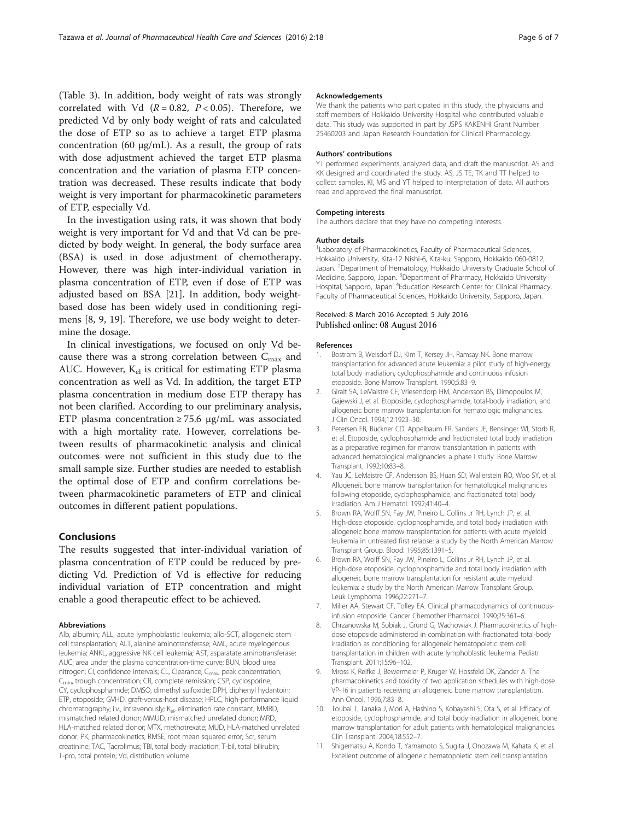<span id="page-5-0"></span>(Table [3\)](#page-4-0). In addition, body weight of rats was strongly correlated with Vd  $(R = 0.82, P < 0.05)$ . Therefore, we predicted Vd by only body weight of rats and calculated the dose of ETP so as to achieve a target ETP plasma concentration (60 μg/mL). As a result, the group of rats with dose adjustment achieved the target ETP plasma concentration and the variation of plasma ETP concentration was decreased. These results indicate that body weight is very important for pharmacokinetic parameters of ETP, especially Vd.

In the investigation using rats, it was shown that body weight is very important for Vd and that Vd can be predicted by body weight. In general, the body surface area (BSA) is used in dose adjustment of chemotherapy. However, there was high inter-individual variation in plasma concentration of ETP, even if dose of ETP was adjusted based on BSA [[21\]](#page-6-0). In addition, body weightbased dose has been widely used in conditioning regimens [8, 9, [19](#page-6-0)]. Therefore, we use body weight to determine the dosage.

In clinical investigations, we focused on only Vd because there was a strong correlation between  $C_{\text{max}}$  and AUC. However,  $K_{el}$  is critical for estimating ETP plasma concentration as well as Vd. In addition, the target ETP plasma concentration in medium dose ETP therapy has not been clarified. According to our preliminary analysis, ETP plasma concentration  $\geq$  75.6 μg/mL was associated with a high mortality rate. However, correlations between results of pharmacokinetic analysis and clinical outcomes were not sufficient in this study due to the small sample size. Further studies are needed to establish the optimal dose of ETP and confirm correlations between pharmacokinetic parameters of ETP and clinical outcomes in different patient populations.

## Conclusions

The results suggested that inter-individual variation of plasma concentration of ETP could be reduced by predicting Vd. Prediction of Vd is effective for reducing individual variation of ETP concentration and might enable a good therapeutic effect to be achieved.

#### Abbreviations

Alb, albumin; ALL, acute lymphoblastic leukemia; allo-SCT, allogeneic stem cell transplantation; ALT, alanine aminotransferase; AML, acute myelogenous leukemia; ANKL, aggressive NK cell leukemia; AST, asparatate aminotransferase; AUC, area under the plasma concentration-time curve; BUN, blood urea nitrogen; CI, confidence intervals; CL, Clearance; C<sub>max</sub>, peak concentration; C<sub>min</sub>, trough concentration; CR, complete remission; CSP, cyclosporine; CY, cyclophosphamide; DMSO, dimethyl sulfoxide; DPH, diphenyl hydantoin; ETP, etoposide; GVHD, graft-versus-host disease; HPLC, high-performance liquid chromatography; i.v., intravenously;  $K_{el}$ , elimination rate constant; MMRD, mismatched related donor; MMUD, mismatched unrelated donor; MRD, HLA-matched related donor; MTX, methotrexate; MUD, HLA-matched unrelated donor; PK, pharmacokinetics; RMSE, root mean squared error; Scr, serum creatinine; TAC, Tacrolimus; TBI, total body irradiation; T-bil, total bilirubin; T-pro, total protein; Vd, distribution volume

#### Acknowledgements

We thank the patients who participated in this study, the physicians and staff members of Hokkaido University Hospital who contributed valuable data. This study was supported in part by JSPS KAKENHI Grant Number 25460203 and Japan Research Foundation for Clinical Pharmacology.

#### Authors' contributions

YT performed experiments, analyzed data, and draft the manuscript. AS and KK designed and coordinated the study. AS, JS TE, TK and TT helped to collect samples. KI, MS and YT helped to interpretation of data. All authors read and approved the final manuscript.

#### Competing interests

The authors declare that they have no competing interests.

#### Author details

<sup>1</sup> Laboratory of Pharmacokinetics, Faculty of Pharmaceutical Sciences, Hokkaido University, Kita-12 Nishi-6, Kita-ku, Sapporo, Hokkaido 060-0812, Japan. <sup>2</sup> Department of Hematology, Hokkaido University Graduate School of Medicine, Sapporo, Japan. <sup>3</sup>Department of Pharmacy, Hokkaido University Hospital, Sapporo, Japan. <sup>4</sup>Education Research Center for Clinical Pharmacy, Faculty of Pharmaceutical Sciences, Hokkaido University, Sapporo, Japan.

#### Received: 8 March 2016 Accepted: 5 July 2016 Published online: 08 August 2016

#### References

- 1. Bostrom B, Weisdorf DJ, Kim T, Kersey JH, Ramsay NK. Bone marrow transplantation for advanced acute leukemia: a pilot study of high-energy total body irradiation, cyclophosphamide and continuous infusion etoposide. Bone Marrow Transplant. 1990;5:83–9.
- 2. Giralt SA, LeMaistre CF, Vriesendorp HM, Andersson BS, Dimopoulos M, Gajewski J, et al. Etoposide, cyclophosphamide, total-body irradiation, and allogeneic bone marrow transplantation for hematologic malignancies. J Clin Oncol. 1994;12:1923–30.
- 3. Petersen FB, Buckner CD, Appelbaum FR, Sanders JE, Bensinger WI, Storb R, et al. Etoposide, cyclophosphamide and fractionated total body irradiation as a preparative regimen for marrow transplantation in patients with advanced hematological malignancies: a phase I study. Bone Marrow Transplant. 1992;10:83–8.
- 4. Yau JC, LeMaistre CF, Andersson BS, Huan SD, Wallerstein RO, Woo SY, et al. Allogeneic bone marrow transplantation for hematological malignancies following etoposide, cyclophosphamide, and fractionated total body irradiation. Am J Hematol. 1992;41:40–4.
- 5. Brown RA, Wolff SN, Fay JW, Pineiro L, Collins Jr RH, Lynch JP, et al. High-dose etoposide, cyclophosphamide, and total body irradiation with allogeneic bone marrow transplantation for patients with acute myeloid leukemia in untreated first relapse: a study by the North American Marrow Transplant Group. Blood. 1995;85:1391–5.
- 6. Brown RA, Wolff SN, Fay JW, Pineiro L, Collins Jr RH, Lynch JP, et al. High-dose etoposide, cyclophosphamide and total body irradiation with allogeneic bone marrow transplantation for resistant acute myeloid leukemia: a study by the North American Marrow Transplant Group. Leuk Lymphoma. 1996;22:271–7.
- 7. Miller AA, Stewart CF, Tolley EA. Clinical pharmacodynamics of continuousinfusion etoposide. Cancer Chemother Pharmacol. 1990;25:361–6.
- 8. Chrzanowska M, Sobiak J, Grund G, Wachowiak J. Pharmacokinetics of highdose etoposide administered in combination with fractionated total-body irradiation as conditioning for allogeneic hematopoietic stem cell transplantation in children with acute lymphoblastic leukemia. Pediatr Transplant. 2011;15:96–102.
- Mross K, Reifke J, Bewermeier P, Kruger W, Hossfeld DK, Zander A. The pharmacokinetics and toxicity of two application schedules with high-dose VP-16 in patients receiving an allogeneic bone marrow transplantation. Ann Oncol. 1996;7:83–8.
- 10. Toubai T, Tanaka J, Mori A, Hashino S, Kobayashi S, Ota S, et al. Efficacy of etoposide, cyclophosphamide, and total body irradiation in allogeneic bone marrow transplantation for adult patients with hematological malignancies. Clin Transplant. 2004;18:552–7.
- 11. Shigematsu A, Kondo T, Yamamoto S, Sugita J, Onozawa M, Kahata K, et al. Excellent outcome of allogeneic hematopoietic stem cell transplantation